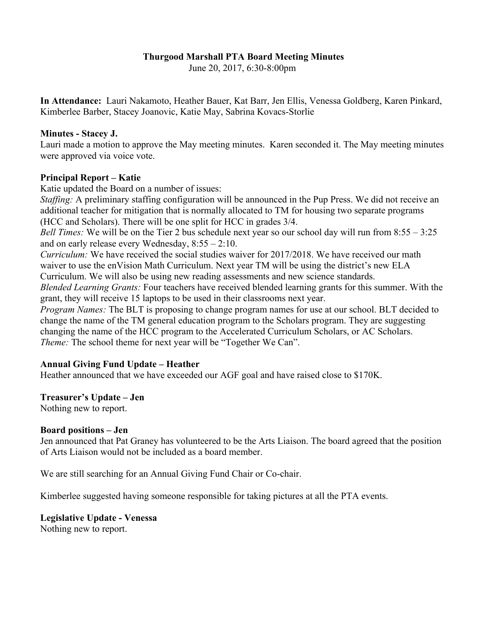### **Thurgood Marshall PTA Board Meeting Minutes**

June 20, 2017, 6:30-8:00pm

**In Attendance:** Lauri Nakamoto, Heather Bauer, Kat Barr, Jen Ellis, Venessa Goldberg, Karen Pinkard, Kimberlee Barber, Stacey Joanovic, Katie May, Sabrina Kovacs-Storlie

### **Minutes - Stacey J.**

Lauri made a motion to approve the May meeting minutes. Karen seconded it. The May meeting minutes were approved via voice vote.

### **Principal Report – Katie**

Katie updated the Board on a number of issues:

*Staffing:* A preliminary staffing configuration will be announced in the Pup Press. We did not receive an additional teacher for mitigation that is normally allocated to TM for housing two separate programs (HCC and Scholars). There will be one split for HCC in grades 3/4.

*Bell Times:* We will be on the Tier 2 bus schedule next year so our school day will run from 8:55 – 3:25 and on early release every Wednesday, 8:55 – 2:10.

*Curriculum:* We have received the social studies waiver for 2017/2018. We have received our math waiver to use the enVision Math Curriculum. Next year TM will be using the district's new ELA Curriculum. We will also be using new reading assessments and new science standards.

*Blended Learning Grants:* Four teachers have received blended learning grants for this summer. With the grant, they will receive 15 laptops to be used in their classrooms next year.

*Program Names:* The BLT is proposing to change program names for use at our school. BLT decided to change the name of the TM general education program to the Scholars program. They are suggesting changing the name of the HCC program to the Accelerated Curriculum Scholars, or AC Scholars. *Theme:* The school theme for next year will be "Together We Can".

# **Annual Giving Fund Update – Heather**

Heather announced that we have exceeded our AGF goal and have raised close to \$170K.

# **Treasurer's Update – Jen**

Nothing new to report.

### **Board positions – Jen**

Jen announced that Pat Graney has volunteered to be the Arts Liaison. The board agreed that the position of Arts Liaison would not be included as a board member.

We are still searching for an Annual Giving Fund Chair or Co-chair.

Kimberlee suggested having someone responsible for taking pictures at all the PTA events.

### **Legislative Update - Venessa** Nothing new to report.